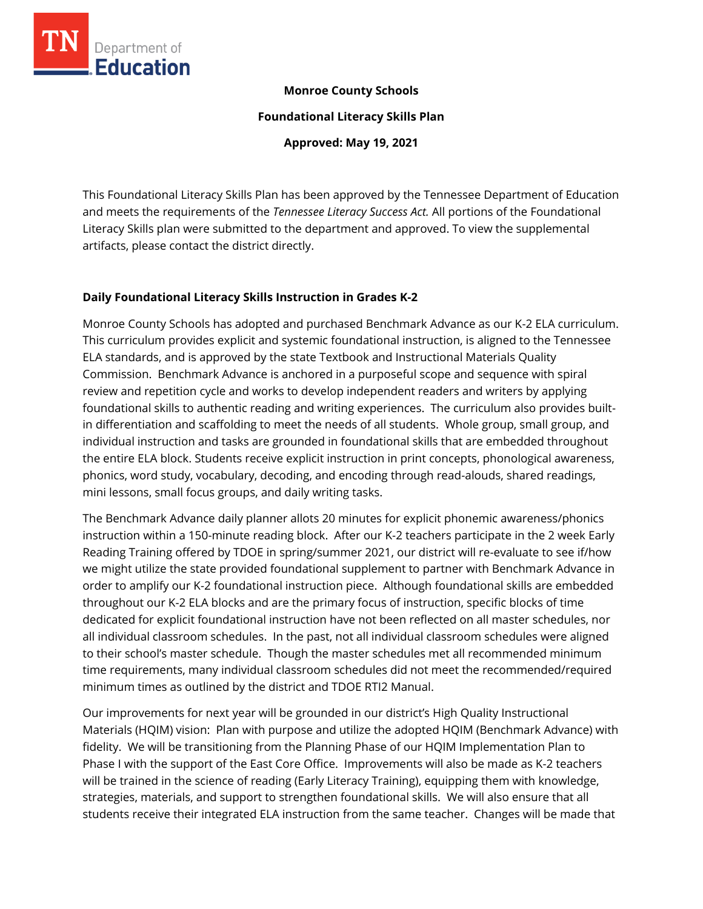

### **Monroe County Schools**

**Foundational Literacy Skills Plan**

**Approved: May 19, 2021**

This Foundational Literacy Skills Plan has been approved by the Tennessee Department of Education and meets the requirements of the *Tennessee Literacy Success Act.* All portions of the Foundational Literacy Skills plan were submitted to the department and approved. To view the supplemental artifacts, please contact the district directly.

### **Daily Foundational Literacy Skills Instruction in Grades K-2**

Monroe County Schools has adopted and purchased Benchmark Advance as our K-2 ELA curriculum. This curriculum provides explicit and systemic foundational instruction, is aligned to the Tennessee ELA standards, and is approved by the state Textbook and Instructional Materials Quality Commission. Benchmark Advance is anchored in a purposeful scope and sequence with spiral review and repetition cycle and works to develop independent readers and writers by applying foundational skills to authentic reading and writing experiences. The curriculum also provides builtin differentiation and scaffolding to meet the needs of all students. Whole group, small group, and individual instruction and tasks are grounded in foundational skills that are embedded throughout the entire ELA block. Students receive explicit instruction in print concepts, phonological awareness, phonics, word study, vocabulary, decoding, and encoding through read-alouds, shared readings, mini lessons, small focus groups, and daily writing tasks.

The Benchmark Advance daily planner allots 20 minutes for explicit phonemic awareness/phonics instruction within a 150-minute reading block. After our K-2 teachers participate in the 2 week Early Reading Training offered by TDOE in spring/summer 2021, our district will re-evaluate to see if/how we might utilize the state provided foundational supplement to partner with Benchmark Advance in order to amplify our K-2 foundational instruction piece. Although foundational skills are embedded throughout our K-2 ELA blocks and are the primary focus of instruction, specific blocks of time dedicated for explicit foundational instruction have not been reflected on all master schedules, nor all individual classroom schedules. In the past, not all individual classroom schedules were aligned to their school's master schedule. Though the master schedules met all recommended minimum time requirements, many individual classroom schedules did not meet the recommended/required minimum times as outlined by the district and TDOE RTI2 Manual.

Our improvements for next year will be grounded in our district's High Quality Instructional Materials (HQIM) vision: Plan with purpose and utilize the adopted HQIM (Benchmark Advance) with fidelity. We will be transitioning from the Planning Phase of our HQIM Implementation Plan to Phase I with the support of the East Core Office. Improvements will also be made as K-2 teachers will be trained in the science of reading (Early Literacy Training), equipping them with knowledge, strategies, materials, and support to strengthen foundational skills. We will also ensure that all students receive their integrated ELA instruction from the same teacher. Changes will be made that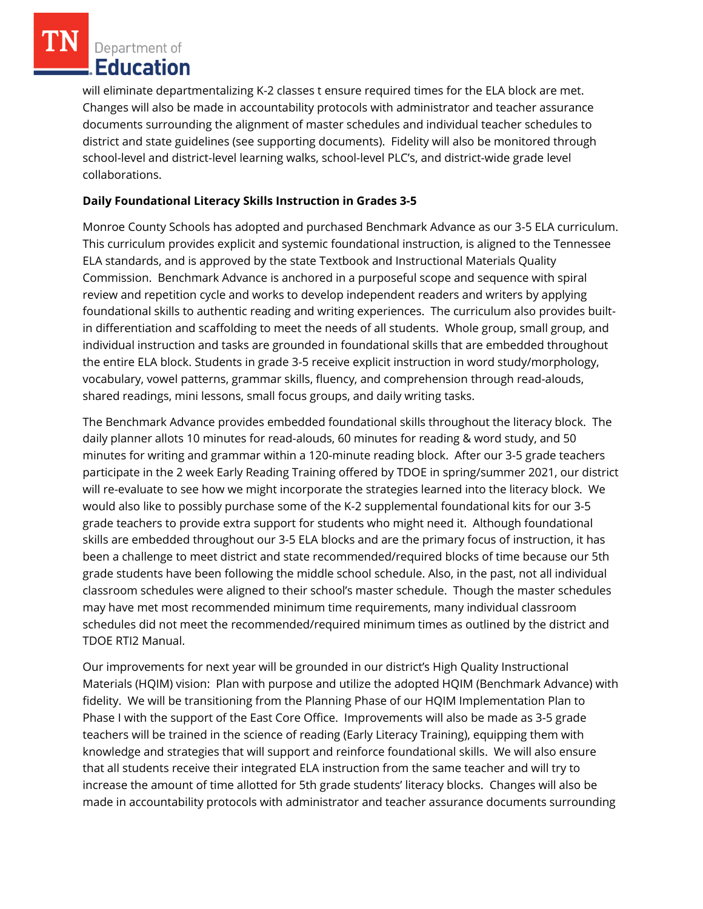will eliminate departmentalizing K-2 classes t ensure required times for the ELA block are met. Changes will also be made in accountability protocols with administrator and teacher assurance documents surrounding the alignment of master schedules and individual teacher schedules to district and state guidelines (see supporting documents). Fidelity will also be monitored through school-level and district-level learning walks, school-level PLC's, and district-wide grade level collaborations.

## **Daily Foundational Literacy Skills Instruction in Grades 3-5**

Monroe County Schools has adopted and purchased Benchmark Advance as our 3-5 ELA curriculum. This curriculum provides explicit and systemic foundational instruction, is aligned to the Tennessee ELA standards, and is approved by the state Textbook and Instructional Materials Quality Commission. Benchmark Advance is anchored in a purposeful scope and sequence with spiral review and repetition cycle and works to develop independent readers and writers by applying foundational skills to authentic reading and writing experiences. The curriculum also provides builtin differentiation and scaffolding to meet the needs of all students. Whole group, small group, and individual instruction and tasks are grounded in foundational skills that are embedded throughout the entire ELA block. Students in grade 3-5 receive explicit instruction in word study/morphology, vocabulary, vowel patterns, grammar skills, fluency, and comprehension through read-alouds, shared readings, mini lessons, small focus groups, and daily writing tasks.

The Benchmark Advance provides embedded foundational skills throughout the literacy block. The daily planner allots 10 minutes for read-alouds, 60 minutes for reading & word study, and 50 minutes for writing and grammar within a 120-minute reading block. After our 3-5 grade teachers participate in the 2 week Early Reading Training offered by TDOE in spring/summer 2021, our district will re-evaluate to see how we might incorporate the strategies learned into the literacy block. We would also like to possibly purchase some of the K-2 supplemental foundational kits for our 3-5 grade teachers to provide extra support for students who might need it. Although foundational skills are embedded throughout our 3-5 ELA blocks and are the primary focus of instruction, it has been a challenge to meet district and state recommended/required blocks of time because our 5th grade students have been following the middle school schedule. Also, in the past, not all individual classroom schedules were aligned to their school's master schedule. Though the master schedules may have met most recommended minimum time requirements, many individual classroom schedules did not meet the recommended/required minimum times as outlined by the district and TDOE RTI2 Manual.

Our improvements for next year will be grounded in our district's High Quality Instructional Materials (HQIM) vision: Plan with purpose and utilize the adopted HQIM (Benchmark Advance) with fidelity. We will be transitioning from the Planning Phase of our HQIM Implementation Plan to Phase I with the support of the East Core Office. Improvements will also be made as 3-5 grade teachers will be trained in the science of reading (Early Literacy Training), equipping them with knowledge and strategies that will support and reinforce foundational skills. We will also ensure that all students receive their integrated ELA instruction from the same teacher and will try to increase the amount of time allotted for 5th grade students' literacy blocks. Changes will also be made in accountability protocols with administrator and teacher assurance documents surrounding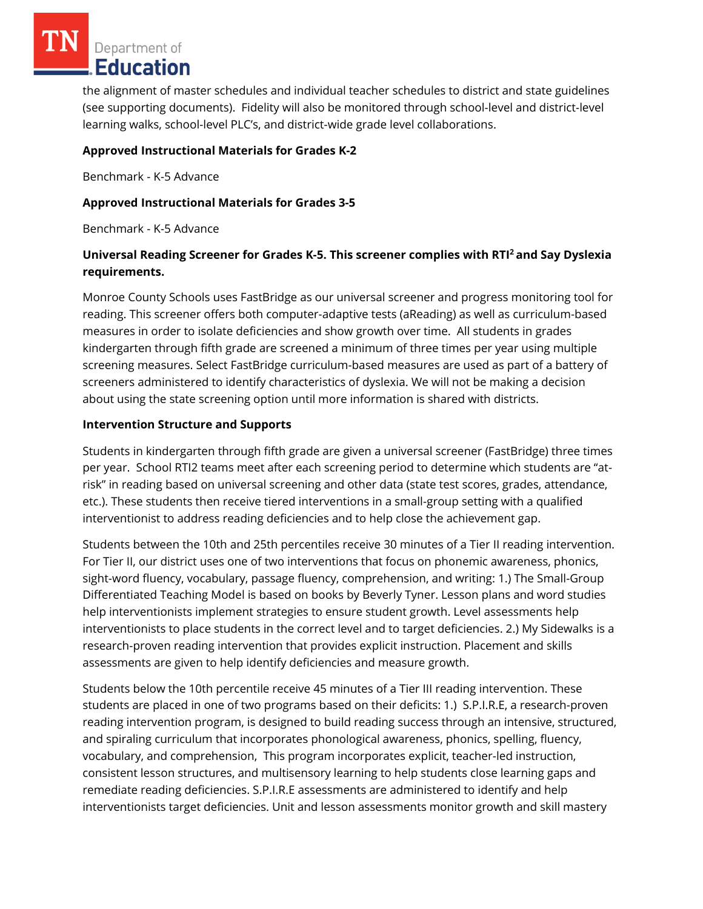the alignment of master schedules and individual teacher schedules to district and state guidelines (see supporting documents). Fidelity will also be monitored through school-level and district-level learning walks, school-level PLC's, and district-wide grade level collaborations.

### **Approved Instructional Materials for Grades K-2**

Benchmark - K-5 Advance

## **Approved Instructional Materials for Grades 3-5**

Benchmark - K-5 Advance

# **Universal Reading Screener for Grades K-5. This screener complies with RTI<sup>2</sup>and Say Dyslexia requirements.**

Monroe County Schools uses FastBridge as our universal screener and progress monitoring tool for reading. This screener offers both computer-adaptive tests (aReading) as well as curriculum-based measures in order to isolate deficiencies and show growth over time. All students in grades kindergarten through fifth grade are screened a minimum of three times per year using multiple screening measures. Select FastBridge curriculum-based measures are used as part of a battery of screeners administered to identify characteristics of dyslexia. We will not be making a decision about using the state screening option until more information is shared with districts.

### **Intervention Structure and Supports**

Students in kindergarten through fifth grade are given a universal screener (FastBridge) three times per year. School RTI2 teams meet after each screening period to determine which students are "atrisk" in reading based on universal screening and other data (state test scores, grades, attendance, etc.). These students then receive tiered interventions in a small-group setting with a qualified interventionist to address reading deficiencies and to help close the achievement gap.

Students between the 10th and 25th percentiles receive 30 minutes of a Tier II reading intervention. For Tier II, our district uses one of two interventions that focus on phonemic awareness, phonics, sight-word fluency, vocabulary, passage fluency, comprehension, and writing: 1.) The Small-Group Differentiated Teaching Model is based on books by Beverly Tyner. Lesson plans and word studies help interventionists implement strategies to ensure student growth. Level assessments help interventionists to place students in the correct level and to target deficiencies. 2.) My Sidewalks is a research-proven reading intervention that provides explicit instruction. Placement and skills assessments are given to help identify deficiencies and measure growth.

Students below the 10th percentile receive 45 minutes of a Tier III reading intervention. These students are placed in one of two programs based on their deficits: 1.) S.P.I.R.E, a research-proven reading intervention program, is designed to build reading success through an intensive, structured, and spiraling curriculum that incorporates phonological awareness, phonics, spelling, fluency, vocabulary, and comprehension, This program incorporates explicit, teacher-led instruction, consistent lesson structures, and multisensory learning to help students close learning gaps and remediate reading deficiencies. S.P.I.R.E assessments are administered to identify and help interventionists target deficiencies. Unit and lesson assessments monitor growth and skill mastery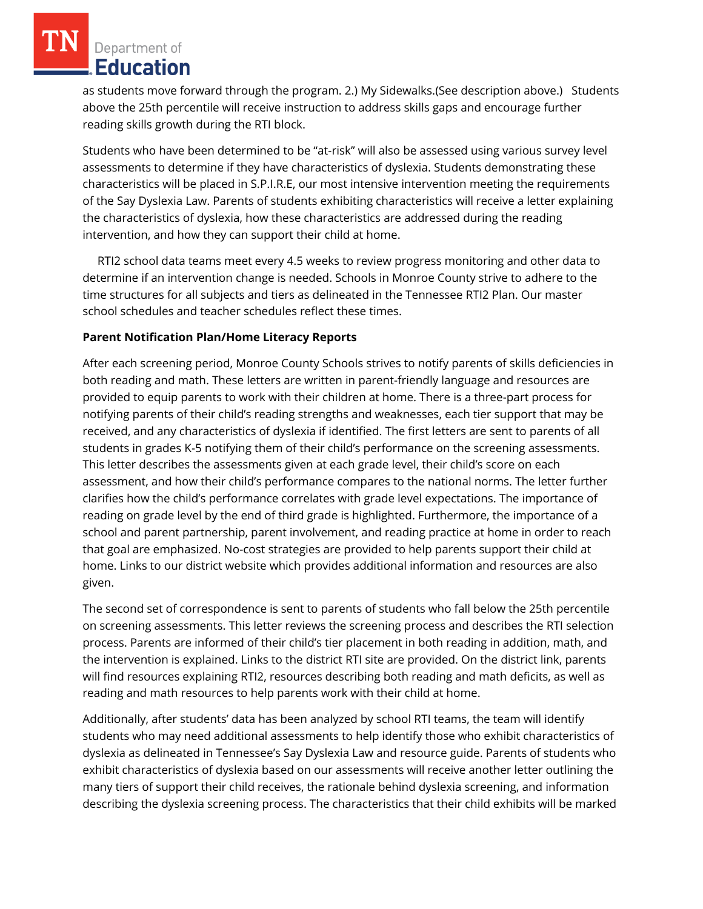as students move forward through the program. 2.) My Sidewalks.(See description above.) Students above the 25th percentile will receive instruction to address skills gaps and encourage further reading skills growth during the RTI block.

Students who have been determined to be "at-risk" will also be assessed using various survey level assessments to determine if they have characteristics of dyslexia. Students demonstrating these characteristics will be placed in S.P.I.R.E, our most intensive intervention meeting the requirements of the Say Dyslexia Law. Parents of students exhibiting characteristics will receive a letter explaining the characteristics of dyslexia, how these characteristics are addressed during the reading intervention, and how they can support their child at home.

 RTI2 school data teams meet every 4.5 weeks to review progress monitoring and other data to determine if an intervention change is needed. Schools in Monroe County strive to adhere to the time structures for all subjects and tiers as delineated in the Tennessee RTI2 Plan. Our master school schedules and teacher schedules reflect these times.

### **Parent Notification Plan/Home Literacy Reports**

After each screening period, Monroe County Schools strives to notify parents of skills deficiencies in both reading and math. These letters are written in parent-friendly language and resources are provided to equip parents to work with their children at home. There is a three-part process for notifying parents of their child's reading strengths and weaknesses, each tier support that may be received, and any characteristics of dyslexia if identified. The first letters are sent to parents of all students in grades K-5 notifying them of their child's performance on the screening assessments. This letter describes the assessments given at each grade level, their child's score on each assessment, and how their child's performance compares to the national norms. The letter further clarifies how the child's performance correlates with grade level expectations. The importance of reading on grade level by the end of third grade is highlighted. Furthermore, the importance of a school and parent partnership, parent involvement, and reading practice at home in order to reach that goal are emphasized. No-cost strategies are provided to help parents support their child at home. Links to our district website which provides additional information and resources are also given.

The second set of correspondence is sent to parents of students who fall below the 25th percentile on screening assessments. This letter reviews the screening process and describes the RTI selection process. Parents are informed of their child's tier placement in both reading in addition, math, and the intervention is explained. Links to the district RTI site are provided. On the district link, parents will find resources explaining RTI2, resources describing both reading and math deficits, as well as reading and math resources to help parents work with their child at home.

Additionally, after students' data has been analyzed by school RTI teams, the team will identify students who may need additional assessments to help identify those who exhibit characteristics of dyslexia as delineated in Tennessee's Say Dyslexia Law and resource guide. Parents of students who exhibit characteristics of dyslexia based on our assessments will receive another letter outlining the many tiers of support their child receives, the rationale behind dyslexia screening, and information describing the dyslexia screening process. The characteristics that their child exhibits will be marked